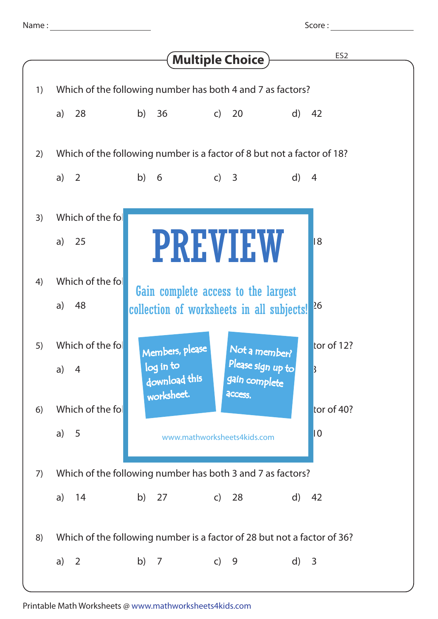